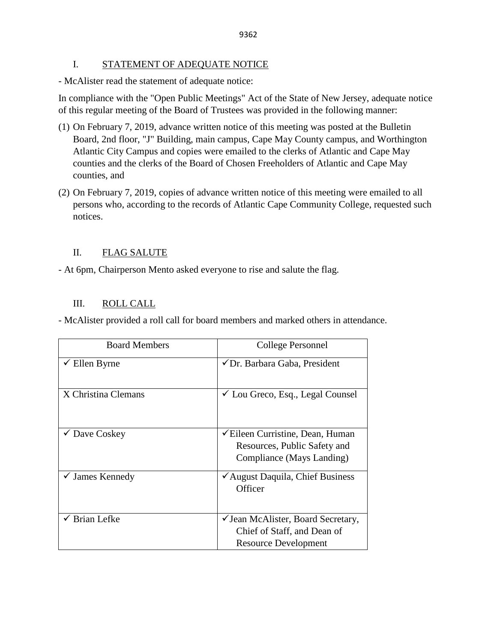### I. STATEMENT OF ADEQUATE NOTICE

- McAlister read the statement of adequate notice:

In compliance with the "Open Public Meetings" Act of the State of New Jersey, adequate notice of this regular meeting of the Board of Trustees was provided in the following manner:

- (1) On February 7, 2019, advance written notice of this meeting was posted at the Bulletin Board, 2nd floor, "J" Building, main campus, Cape May County campus, and Worthington Atlantic City Campus and copies were emailed to the clerks of Atlantic and Cape May counties and the clerks of the Board of Chosen Freeholders of Atlantic and Cape May counties, and
- (2) On February 7, 2019, copies of advance written notice of this meeting were emailed to all persons who, according to the records of Atlantic Cape Community College, requested such notices.

# II. FLAG SALUTE

- At 6pm, Chairperson Mento asked everyone to rise and salute the flag.

## III. ROLL CALL

- McAlister provided a roll call for board members and marked others in attendance.

| <b>Board Members</b>       | College Personnel                                                                                                   |
|----------------------------|---------------------------------------------------------------------------------------------------------------------|
| $\checkmark$ Ellen Byrne   | ✔ Dr. Barbara Gaba, President                                                                                       |
| X Christina Clemans        | $\checkmark$ Lou Greco, Esq., Legal Counsel                                                                         |
| $\checkmark$ Dave Coskey   | <del></del> <del></del> Eileen Curristine, Dean, Human<br>Resources, Public Safety and<br>Compliance (Mays Landing) |
| $\checkmark$ James Kennedy | ✔ August Daquila, Chief Business<br>Officer                                                                         |
| <b>Brian Lefke</b>         | ✓ Jean McAlister, Board Secretary,<br>Chief of Staff, and Dean of<br><b>Resource Development</b>                    |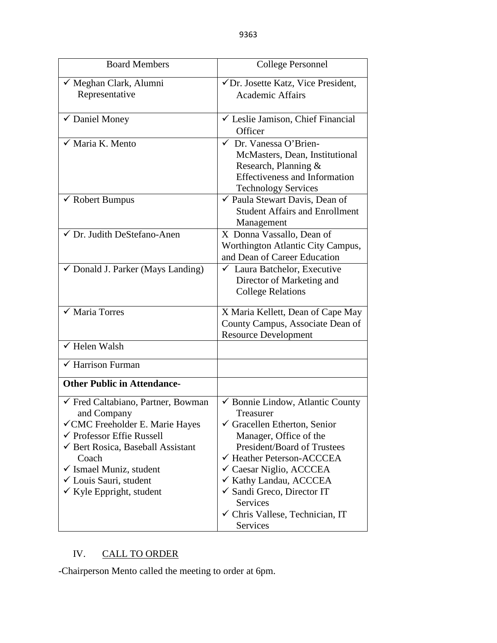| <b>Board Members</b>                                                                                                                                                                                                                                                                                   | <b>College Personnel</b>                                                                                                                                                                                                                                                                                                                                                  |
|--------------------------------------------------------------------------------------------------------------------------------------------------------------------------------------------------------------------------------------------------------------------------------------------------------|---------------------------------------------------------------------------------------------------------------------------------------------------------------------------------------------------------------------------------------------------------------------------------------------------------------------------------------------------------------------------|
| √ Meghan Clark, Alumni<br>Representative                                                                                                                                                                                                                                                               | √Dr. Josette Katz, Vice President,<br><b>Academic Affairs</b>                                                                                                                                                                                                                                                                                                             |
| ✔ Daniel Money                                                                                                                                                                                                                                                                                         | └ Leslie Jamison, Chief Financial<br>Officer                                                                                                                                                                                                                                                                                                                              |
| $\checkmark$ Maria K. Mento                                                                                                                                                                                                                                                                            | ← Dr. Vanessa O'Brien-<br>McMasters, Dean, Institutional<br>Research, Planning &<br><b>Effectiveness and Information</b><br><b>Technology Services</b>                                                                                                                                                                                                                    |
| $\checkmark$ Robert Bumpus                                                                                                                                                                                                                                                                             | ✔ Paula Stewart Davis, Dean of<br><b>Student Affairs and Enrollment</b><br>Management                                                                                                                                                                                                                                                                                     |
| √ Dr. Judith DeStefano-Anen                                                                                                                                                                                                                                                                            | X Donna Vassallo, Dean of<br>Worthington Atlantic City Campus,<br>and Dean of Career Education                                                                                                                                                                                                                                                                            |
| $\checkmark$ Donald J. Parker (Mays Landing)                                                                                                                                                                                                                                                           | Laura Batchelor, Executive<br>✓<br>Director of Marketing and<br><b>College Relations</b>                                                                                                                                                                                                                                                                                  |
| $\checkmark$ Maria Torres                                                                                                                                                                                                                                                                              | X Maria Kellett, Dean of Cape May<br>County Campus, Associate Dean of<br><b>Resource Development</b>                                                                                                                                                                                                                                                                      |
| $\checkmark$ Helen Walsh                                                                                                                                                                                                                                                                               |                                                                                                                                                                                                                                                                                                                                                                           |
| $\overline{\checkmark}$ Harrison Furman                                                                                                                                                                                                                                                                |                                                                                                                                                                                                                                                                                                                                                                           |
| <b>Other Public in Attendance-</b>                                                                                                                                                                                                                                                                     |                                                                                                                                                                                                                                                                                                                                                                           |
| ← Fred Caltabiano, Partner, Bowman<br>and Company<br>√ CMC Freeholder E. Marie Hayes<br>$\checkmark$ Professor Effie Russell<br>$\checkmark$ Bert Rosica, Baseball Assistant<br>Coach<br>$\checkmark$ Ismael Muniz, student<br><del></del> Louis Sauri, student<br>$\checkmark$ Kyle Eppright, student | $\checkmark$ Bonnie Lindow, Atlantic County<br>Treasurer<br>Gracellen Etherton, Senior<br>Manager, Office of the<br><b>President/Board of Trustees</b><br>← Heather Peterson-ACCCEA<br>$\checkmark$ Caesar Niglio, ACCCEA<br>✓ Kathy Landau, ACCCEA<br>$\checkmark$ Sandi Greco, Director IT<br><b>Services</b><br>$\checkmark$ Chris Vallese, Technician, IT<br>Services |

# IV. CALL TO ORDER

-Chairperson Mento called the meeting to order at 6pm.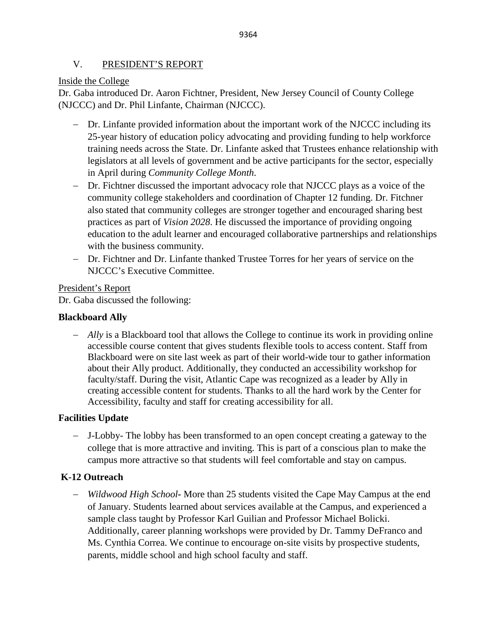## V. PRESIDENT'S REPORT

### Inside the College

Dr. Gaba introduced Dr. Aaron Fichtner, President, New Jersey Council of County College (NJCCC) and Dr. Phil Linfante, Chairman (NJCCC).

- − Dr. Linfante provided information about the important work of the NJCCC including its 25-year history of education policy advocating and providing funding to help workforce training needs across the State. Dr. Linfante asked that Trustees enhance relationship with legislators at all levels of government and be active participants for the sector, especially in April during *Community College Month*.
- − Dr. Fichtner discussed the important advocacy role that NJCCC plays as a voice of the community college stakeholders and coordination of Chapter 12 funding. Dr. Fitchner also stated that community colleges are stronger together and encouraged sharing best practices as part of *Vision 2028*. He discussed the importance of providing ongoing education to the adult learner and encouraged collaborative partnerships and relationships with the business community.
- − Dr. Fichtner and Dr. Linfante thanked Trustee Torres for her years of service on the NJCCC's Executive Committee.

President's Report

Dr. Gaba discussed the following:

### **Blackboard Ally**

− *Ally* is a Blackboard tool that allows the College to continue its work in providing online accessible course content that gives students flexible tools to access content. Staff from Blackboard were on site last week as part of their world-wide tour to gather information about their Ally product. Additionally, they conducted an accessibility workshop for faculty/staff. During the visit, Atlantic Cape was recognized as a leader by Ally in creating accessible content for students. Thanks to all the hard work by the Center for Accessibility, faculty and staff for creating accessibility for all.

## **Facilities Update**

− J-Lobby- The lobby has been transformed to an open concept creating a gateway to the college that is more attractive and inviting. This is part of a conscious plan to make the campus more attractive so that students will feel comfortable and stay on campus.

## **K-12 Outreach**

− *Wildwood High School***-** More than 25 students visited the Cape May Campus at the end of January. Students learned about services available at the Campus, and experienced a sample class taught by Professor Karl Guilian and Professor Michael Bolicki. Additionally, career planning workshops were provided by Dr. Tammy DeFranco and Ms. Cynthia Correa. We continue to encourage on-site visits by prospective students, parents, middle school and high school faculty and staff.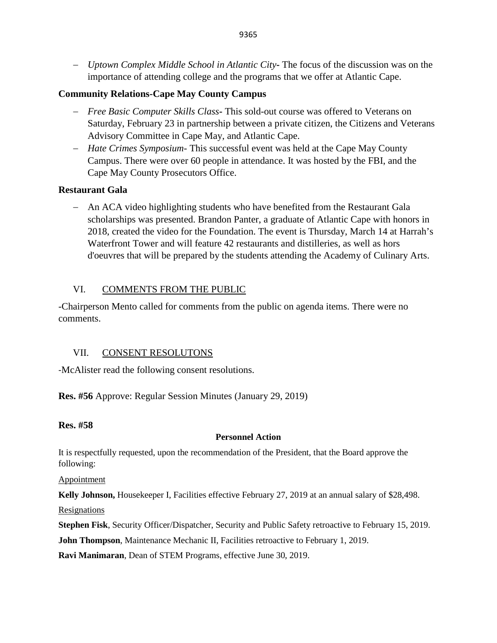− *Uptown Complex Middle School in Atlantic City***-** The focus of the discussion was on the importance of attending college and the programs that we offer at Atlantic Cape.

## **Community Relations-Cape May County Campus**

- − *Free Basic Computer Skills Class***-** This sold-out course was offered to Veterans on Saturday, February 23 in partnership between a private citizen, the Citizens and Veterans Advisory Committee in Cape May, and Atlantic Cape.
- − *Hate Crimes Symposium* This successful event was held at the Cape May County Campus. There were over 60 people in attendance. It was hosted by the FBI, and the Cape May County Prosecutors Office.

## **Restaurant Gala**

− An ACA video highlighting students who have benefited from the Restaurant Gala scholarships was presented. Brandon Panter, a graduate of Atlantic Cape with honors in 2018, created the video for the Foundation. The event is Thursday, March 14 at Harrah's Waterfront Tower and will feature 42 restaurants and distilleries, as well as hors d'oeuvres that will be prepared by the students attending the Academy of Culinary Arts.

## VI. COMMENTS FROM THE PUBLIC

-Chairperson Mento called for comments from the public on agenda items. There were no comments.

### VII. CONSENT RESOLUTONS

-McAlister read the following consent resolutions.

**Res. #56** Approve: Regular Session Minutes (January 29, 2019)

### **Res. #58**

### **Personnel Action**

It is respectfully requested, upon the recommendation of the President, that the Board approve the following:

Appointment

**Kelly Johnson,** Housekeeper I, Facilities effective February 27, 2019 at an annual salary of \$28,498.

Resignations

**Stephen Fisk**, Security Officer/Dispatcher, Security and Public Safety retroactive to February 15, 2019.

**John Thompson**, Maintenance Mechanic II, Facilities retroactive to February 1, 2019.

**Ravi Manimaran**, Dean of STEM Programs, effective June 30, 2019.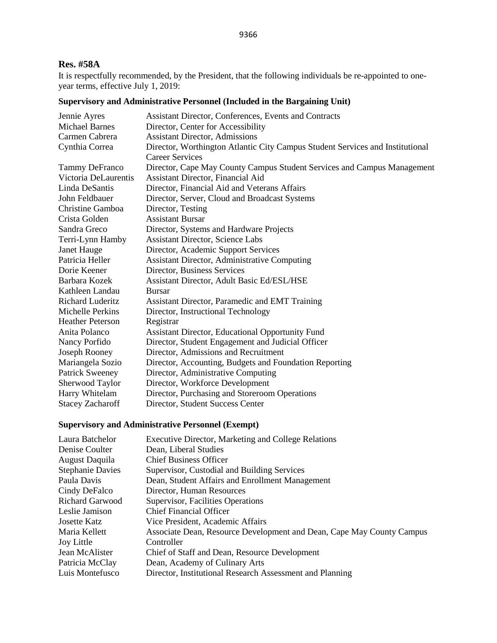#### 9366

### **Res. #58A**

It is respectfully recommended, by the President, that the following individuals be re-appointed to oneyear terms, effective July 1, 2019:

## **Supervisory and Administrative Personnel (Included in the Bargaining Unit)**

| Jennie Ayres            | Assistant Director, Conferences, Events and Contracts                         |
|-------------------------|-------------------------------------------------------------------------------|
| <b>Michael Barnes</b>   | Director, Center for Accessibility                                            |
| Carmen Cabrera          | <b>Assistant Director, Admissions</b>                                         |
| Cynthia Correa          | Director, Worthington Atlantic City Campus Student Services and Institutional |
|                         | Career Services                                                               |
| <b>Tammy DeFranco</b>   | Director, Cape May County Campus Student Services and Campus Management       |
| Victoria DeLaurentis    | Assistant Director, Financial Aid                                             |
| Linda DeSantis          | Director, Financial Aid and Veterans Affairs                                  |
| John Feldbauer          | Director, Server, Cloud and Broadcast Systems                                 |
| Christine Gamboa        | Director, Testing                                                             |
| Crista Golden           | <b>Assistant Bursar</b>                                                       |
| Sandra Greco            | Director, Systems and Hardware Projects                                       |
| Terri-Lynn Hamby        | <b>Assistant Director, Science Labs</b>                                       |
| Janet Hauge             | Director, Academic Support Services                                           |
| Patricia Heller         | <b>Assistant Director, Administrative Computing</b>                           |
| Dorie Keener            | Director, Business Services                                                   |
| Barbara Kozek           | Assistant Director, Adult Basic Ed/ESL/HSE                                    |
| Kathleen Landau         | <b>Bursar</b>                                                                 |
| <b>Richard Luderitz</b> | Assistant Director, Paramedic and EMT Training                                |
| Michelle Perkins        | Director, Instructional Technology                                            |
| <b>Heather Peterson</b> | Registrar                                                                     |
| Anita Polanco           | Assistant Director, Educational Opportunity Fund                              |
| Nancy Porfido           | Director, Student Engagement and Judicial Officer                             |
| Joseph Rooney           | Director, Admissions and Recruitment                                          |
| Mariangela Sozio        | Director, Accounting, Budgets and Foundation Reporting                        |
| <b>Patrick Sweeney</b>  | Director, Administrative Computing                                            |
| Sherwood Taylor         | Director, Workforce Development                                               |
| Harry Whitelam          | Director, Purchasing and Storeroom Operations                                 |
| <b>Stacey Zacharoff</b> | Director, Student Success Center                                              |
|                         |                                                                               |

### **Supervisory and Administrative Personnel (Exempt)**

| Laura Batchelor         | Executive Director, Marketing and College Relations                   |
|-------------------------|-----------------------------------------------------------------------|
| Denise Coulter          | Dean, Liberal Studies                                                 |
| August Daquila          | <b>Chief Business Officer</b>                                         |
| <b>Stephanie Davies</b> | Supervisor, Custodial and Building Services                           |
| Paula Davis             | Dean, Student Affairs and Enrollment Management                       |
| Cindy DeFalco           | Director, Human Resources                                             |
| <b>Richard Garwood</b>  | Supervisor, Facilities Operations                                     |
| Leslie Jamison          | <b>Chief Financial Officer</b>                                        |
| Josette Katz            | Vice President, Academic Affairs                                      |
| Maria Kellett           | Associate Dean, Resource Development and Dean, Cape May County Campus |
| <b>Joy Little</b>       | Controller                                                            |
| Jean McAlister          | Chief of Staff and Dean, Resource Development                         |
| Patricia McClay         | Dean, Academy of Culinary Arts                                        |
| Luis Montefusco         | Director, Institutional Research Assessment and Planning              |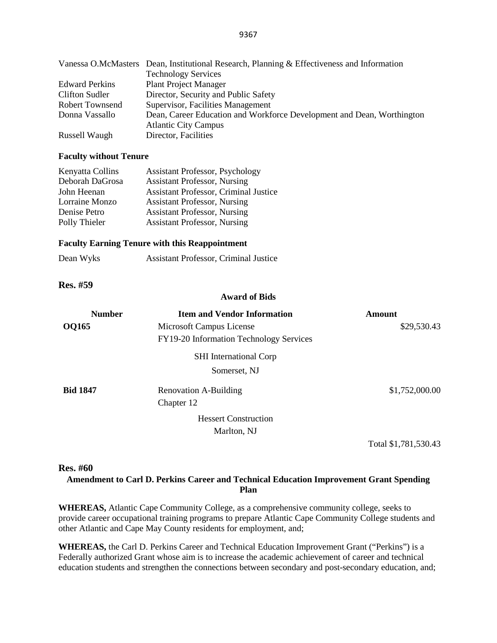|                       | Vanessa O.McMasters Dean, Institutional Research, Planning & Effectiveness and Information |
|-----------------------|--------------------------------------------------------------------------------------------|
|                       | <b>Technology Services</b>                                                                 |
| <b>Edward Perkins</b> | <b>Plant Project Manager</b>                                                               |
| Clifton Sudler        | Director, Security and Public Safety                                                       |
| Robert Townsend       | Supervisor, Facilities Management                                                          |
| Donna Vassallo        | Dean, Career Education and Workforce Development and Dean, Worthington                     |
|                       | <b>Atlantic City Campus</b>                                                                |
| Russell Waugh         | Director, Facilities                                                                       |

#### **Faculty without Tenure**

| Kenyatta Collins | <b>Assistant Professor, Psychology</b>       |
|------------------|----------------------------------------------|
| Deborah DaGrosa  | <b>Assistant Professor, Nursing</b>          |
| John Heenan      | <b>Assistant Professor, Criminal Justice</b> |
| Lorraine Monzo   | <b>Assistant Professor, Nursing</b>          |
| Denise Petro     | <b>Assistant Professor, Nursing</b>          |
| Polly Thieler    | <b>Assistant Professor, Nursing</b>          |

#### **Faculty Earning Tenure with this Reappointment**

| Dean Wyks | Assistant Professor, Criminal Justice |  |
|-----------|---------------------------------------|--|
|-----------|---------------------------------------|--|

**Res. #59**

#### **Award of Bids**

| <b>Number</b>   | <b>Item and Vendor Information</b>      | <b>Amount</b>        |
|-----------------|-----------------------------------------|----------------------|
| <b>OQ165</b>    | Microsoft Campus License                | \$29,530.43          |
|                 | FY19-20 Information Technology Services |                      |
|                 | <b>SHI</b> International Corp           |                      |
|                 | Somerset, NJ                            |                      |
| <b>Bid 1847</b> | Renovation A-Building                   | \$1,752,000.00       |
|                 | Chapter 12                              |                      |
|                 | <b>Hessert Construction</b>             |                      |
|                 | Marlton, NJ                             |                      |
|                 |                                         | Total \$1,781,530.43 |

#### **Res. #60**

#### **Amendment to Carl D. Perkins Career and Technical Education Improvement Grant Spending Plan**

**WHEREAS,** Atlantic Cape Community College, as a comprehensive community college, seeks to provide career occupational training programs to prepare Atlantic Cape Community College students and other Atlantic and Cape May County residents for employment, and;

**WHEREAS,** the Carl D. Perkins Career and Technical Education Improvement Grant ("Perkins") is a Federally authorized Grant whose aim is to increase the academic achievement of career and technical education students and strengthen the connections between secondary and post-secondary education, and;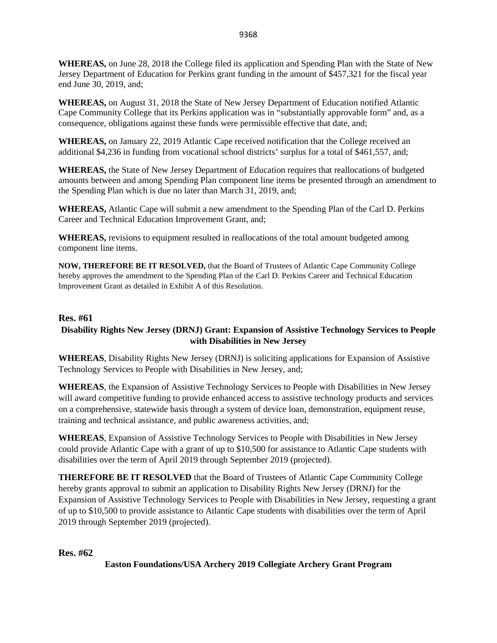**WHEREAS,** on June 28, 2018 the College filed its application and Spending Plan with the State of New Jersey Department of Education for Perkins grant funding in the amount of \$457,321 for the fiscal year end June 30, 2019, and;

**WHEREAS,** on August 31, 2018 the State of New Jersey Department of Education notified Atlantic Cape Community College that its Perkins application was in "substantially approvable form" and, as a consequence, obligations against these funds were permissible effective that date, and;

**WHEREAS,** on January 22, 2019 Atlantic Cape received notification that the College received an additional \$4,236 in funding from vocational school districts' surplus for a total of \$461,557, and;

**WHEREAS,** the State of New Jersey Department of Education requires that reallocations of budgeted amounts between and among Spending Plan component line items be presented through an amendment to the Spending Plan which is due no later than March 31, 2019, and;

**WHEREAS,** Atlantic Cape will submit a new amendment to the Spending Plan of the Carl D. Perkins Career and Technical Education Improvement Grant, and;

**WHEREAS,** revisions to equipment resulted in reallocations of the total amount budgeted among component line items.

**NOW, THEREFORE BE IT RESOLVED,** that the Board of Trustees of Atlantic Cape Community College hereby approves the amendment to the Spending Plan of the Carl D. Perkins Career and Technical Education Improvement Grant as detailed in Exhibit A of this Resolution.

### **Res. #61**

## **Disability Rights New Jersey (DRNJ) Grant: Expansion of Assistive Technology Services to People with Disabilities in New Jersey**

**WHEREAS**, Disability Rights New Jersey (DRNJ) is soliciting applications for Expansion of Assistive Technology Services to People with Disabilities in New Jersey, and;

**WHEREAS**, the Expansion of Assistive Technology Services to People with Disabilities in New Jersey will award competitive funding to provide enhanced access to assistive technology products and services on a comprehensive, statewide basis through a system of device loan, demonstration, equipment reuse, training and technical assistance, and public awareness activities, and;

**WHEREAS**, Expansion of Assistive Technology Services to People with Disabilities in New Jersey could provide Atlantic Cape with a grant of up to \$10,500 for assistance to Atlantic Cape students with disabilities over the term of April 2019 through September 2019 (projected).

**THEREFORE BE IT RESOLVED** that the Board of Trustees of Atlantic Cape Community College hereby grants approval to submit an application to Disability Rights New Jersey (DRNJ) for the Expansion of Assistive Technology Services to People with Disabilities in New Jersey, requesting a grant of up to \$10,500 to provide assistance to Atlantic Cape students with disabilities over the term of April 2019 through September 2019 (projected).

### **Res. #62**

**Easton Foundations/USA Archery 2019 Collegiate Archery Grant Program**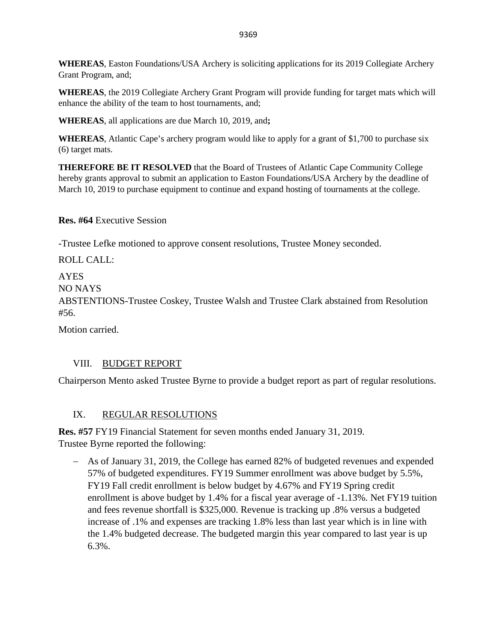**WHEREAS**, Easton Foundations/USA Archery is soliciting applications for its 2019 Collegiate Archery Grant Program, and;

**WHEREAS**, the 2019 Collegiate Archery Grant Program will provide funding for target mats which will enhance the ability of the team to host tournaments, and;

**WHEREAS**, all applications are due March 10, 2019, and**;**

**WHEREAS**, Atlantic Cape's archery program would like to apply for a grant of \$1,700 to purchase six (6) target mats.

**THEREFORE BE IT RESOLVED** that the Board of Trustees of Atlantic Cape Community College hereby grants approval to submit an application to Easton Foundations/USA Archery by the deadline of March 10, 2019 to purchase equipment to continue and expand hosting of tournaments at the college.

**Res. #64** Executive Session

-Trustee Lefke motioned to approve consent resolutions, Trustee Money seconded.

ROLL CALL:

AYES

NO NAYS

ABSTENTIONS-Trustee Coskey, Trustee Walsh and Trustee Clark abstained from Resolution #56.

Motion carried.

# VIII. BUDGET REPORT

Chairperson Mento asked Trustee Byrne to provide a budget report as part of regular resolutions.

# IX. REGULAR RESOLUTIONS

**Res. #57** FY19 Financial Statement for seven months ended January 31, 2019. Trustee Byrne reported the following:

− As of January 31, 2019, the College has earned 82% of budgeted revenues and expended 57% of budgeted expenditures. FY19 Summer enrollment was above budget by 5.5%, FY19 Fall credit enrollment is below budget by 4.67% and FY19 Spring credit enrollment is above budget by 1.4% for a fiscal year average of -1.13%. Net FY19 tuition and fees revenue shortfall is \$325,000. Revenue is tracking up .8% versus a budgeted increase of .1% and expenses are tracking 1.8% less than last year which is in line with the 1.4% budgeted decrease. The budgeted margin this year compared to last year is up 6.3%.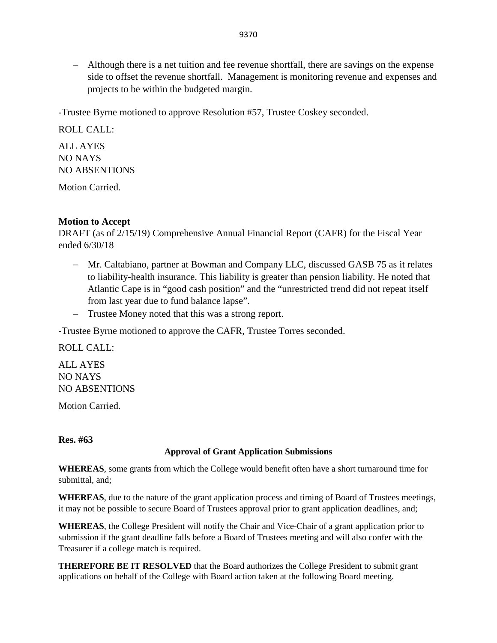− Although there is a net tuition and fee revenue shortfall, there are savings on the expense side to offset the revenue shortfall. Management is monitoring revenue and expenses and projects to be within the budgeted margin.

-Trustee Byrne motioned to approve Resolution #57, Trustee Coskey seconded.

ROLL CALL: ALL AYES NO NAYS NO ABSENTIONS

Motion Carried.

### **Motion to Accept**

DRAFT (as of 2/15/19) Comprehensive Annual Financial Report (CAFR) for the Fiscal Year ended 6/30/18

- − Mr. Caltabiano, partner at Bowman and Company LLC, discussed GASB 75 as it relates to liability-health insurance. This liability is greater than pension liability. He noted that Atlantic Cape is in "good cash position" and the "unrestricted trend did not repeat itself from last year due to fund balance lapse".
- − Trustee Money noted that this was a strong report.

-Trustee Byrne motioned to approve the CAFR, Trustee Torres seconded.

ROLL CALL:

ALL AYES NO NAYS NO ABSENTIONS

Motion Carried.

**Res. #63**

### **Approval of Grant Application Submissions**

**WHEREAS**, some grants from which the College would benefit often have a short turnaround time for submittal, and;

**WHEREAS**, due to the nature of the grant application process and timing of Board of Trustees meetings, it may not be possible to secure Board of Trustees approval prior to grant application deadlines, and;

**WHEREAS**, the College President will notify the Chair and Vice-Chair of a grant application prior to submission if the grant deadline falls before a Board of Trustees meeting and will also confer with the Treasurer if a college match is required.

**THEREFORE BE IT RESOLVED** that the Board authorizes the College President to submit grant applications on behalf of the College with Board action taken at the following Board meeting.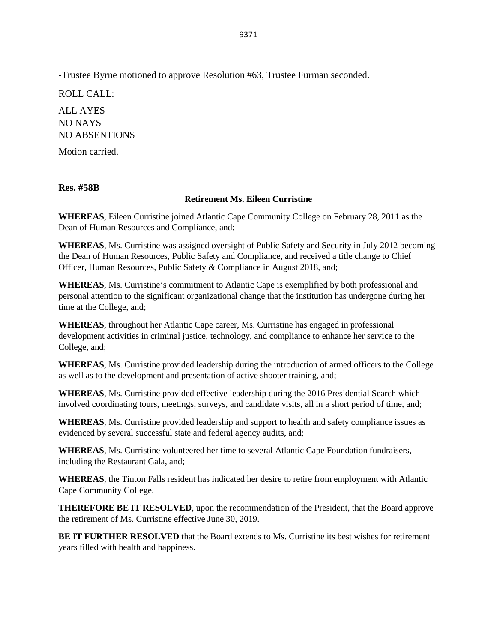-Trustee Byrne motioned to approve Resolution #63, Trustee Furman seconded.

ROLL CALL:

ALL AYES NO NAYS NO ABSENTIONS

Motion carried.

**Res. #58B**

### **Retirement Ms. Eileen Curristine**

**WHEREAS**, Eileen Curristine joined Atlantic Cape Community College on February 28, 2011 as the Dean of Human Resources and Compliance, and;

**WHEREAS**, Ms. Curristine was assigned oversight of Public Safety and Security in July 2012 becoming the Dean of Human Resources, Public Safety and Compliance, and received a title change to Chief Officer, Human Resources, Public Safety & Compliance in August 2018, and;

**WHEREAS**, Ms. Curristine's commitment to Atlantic Cape is exemplified by both professional and personal attention to the significant organizational change that the institution has undergone during her time at the College, and;

**WHEREAS**, throughout her Atlantic Cape career, Ms. Curristine has engaged in professional development activities in criminal justice, technology, and compliance to enhance her service to the College, and;

**WHEREAS**, Ms. Curristine provided leadership during the introduction of armed officers to the College as well as to the development and presentation of active shooter training, and;

**WHEREAS**, Ms. Curristine provided effective leadership during the 2016 Presidential Search which involved coordinating tours, meetings, surveys, and candidate visits, all in a short period of time, and;

**WHEREAS**, Ms. Curristine provided leadership and support to health and safety compliance issues as evidenced by several successful state and federal agency audits, and;

**WHEREAS**, Ms. Curristine volunteered her time to several Atlantic Cape Foundation fundraisers, including the Restaurant Gala, and;

**WHEREAS**, the Tinton Falls resident has indicated her desire to retire from employment with Atlantic Cape Community College.

**THEREFORE BE IT RESOLVED**, upon the recommendation of the President, that the Board approve the retirement of Ms. Curristine effective June 30, 2019.

**BE IT FURTHER RESOLVED** that the Board extends to Ms. Curristine its best wishes for retirement years filled with health and happiness.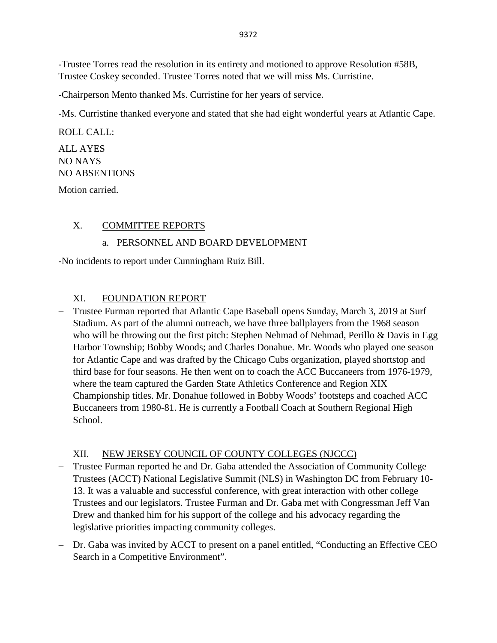-Trustee Torres read the resolution in its entirety and motioned to approve Resolution #58B, Trustee Coskey seconded. Trustee Torres noted that we will miss Ms. Curristine.

-Chairperson Mento thanked Ms. Curristine for her years of service.

-Ms. Curristine thanked everyone and stated that she had eight wonderful years at Atlantic Cape.

ROLL CALL:

## ALL AYES NO NAYS NO ABSENTIONS

Motion carried.

## X. COMMITTEE REPORTS

## a. PERSONNEL AND BOARD DEVELOPMENT

-No incidents to report under Cunningham Ruiz Bill.

## XI. FOUNDATION REPORT

− Trustee Furman reported that Atlantic Cape Baseball opens Sunday, March 3, 2019 at Surf Stadium. As part of the alumni outreach, we have three ballplayers from the 1968 season who will be throwing out the first pitch: Stephen Nehmad of Nehmad, Perillo & Davis in Egg Harbor Township; Bobby Woods; and Charles Donahue. Mr. Woods who played one season for Atlantic Cape and was drafted by the Chicago Cubs organization, played shortstop and third base for four seasons. He then went on to coach the ACC Buccaneers from 1976-1979, where the team captured the Garden State Athletics Conference and Region XIX Championship titles. Mr. Donahue followed in Bobby Woods' footsteps and coached ACC Buccaneers from 1980-81. He is currently a Football Coach at Southern Regional High School.

# XII. NEW JERSEY COUNCIL OF COUNTY COLLEGES (NJCCC)

- Trustee Furman reported he and Dr. Gaba attended the Association of Community College Trustees (ACCT) National Legislative Summit (NLS) in Washington DC from February 10- 13. It was a valuable and successful conference, with great interaction with other college Trustees and our legislators. Trustee Furman and Dr. Gaba met with Congressman Jeff Van Drew and thanked him for his support of the college and his advocacy regarding the legislative priorities impacting community colleges.
- − Dr. Gaba was invited by ACCT to present on a panel entitled, "Conducting an Effective CEO Search in a Competitive Environment".